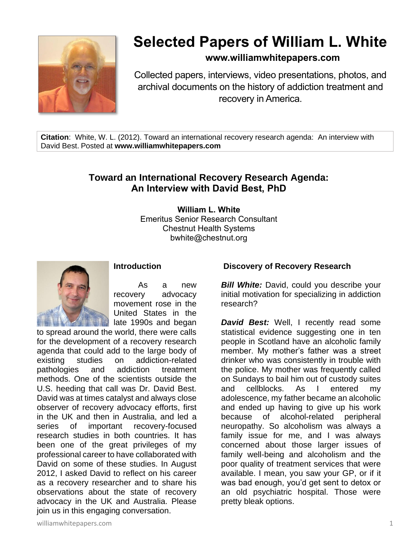

# **Selected Papers of William L. White**

## **www.williamwhitepapers.com**

Collected papers, interviews, video presentations, photos, and archival documents on the history of addiction treatment and recovery in America.

**Citation**: White, W. L. (2012). Toward an international recovery research agenda: An interview with David Best. Posted at **www.williamwhitepapers.com**

# **Toward an International Recovery Research Agenda: An Interview with David Best, PhD**

**William L. White** Emeritus Senior Research Consultant Chestnut Health Systems bwhite@chestnut.org



**Introduction**

As a new recovery advocacy movement rose in the United States in the late 1990s and began

to spread around the world, there were calls for the development of a recovery research agenda that could add to the large body of existing studies on addiction-related pathologies and addiction treatment methods. One of the scientists outside the U.S. heeding that call was Dr. David Best. David was at times catalyst and always close observer of recovery advocacy efforts, first in the UK and then in Australia, and led a series of important recovery-focused research studies in both countries. It has been one of the great privileges of my professional career to have collaborated with David on some of these studies. In August 2012, I asked David to reflect on his career as a recovery researcher and to share his observations about the state of recovery advocacy in the UK and Australia. Please join us in this engaging conversation.

#### **Discovery of Recovery Research**

**Bill White:** David, could you describe your initial motivation for specializing in addiction research?

*David Best:* Well, I recently read some statistical evidence suggesting one in ten people in Scotland have an alcoholic family member. My mother's father was a street drinker who was consistently in trouble with the police. My mother was frequently called on Sundays to bail him out of custody suites and cellblocks. As I entered my adolescence, my father became an alcoholic and ended up having to give up his work because of alcohol-related peripheral neuropathy. So alcoholism was always a family issue for me, and I was always concerned about those larger issues of family well-being and alcoholism and the poor quality of treatment services that were available. I mean, you saw your GP, or if it was bad enough, you'd get sent to detox or an old psychiatric hospital. Those were pretty bleak options.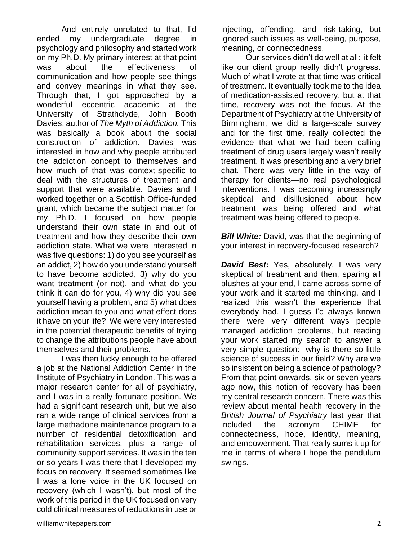And entirely unrelated to that, I'd ended my undergraduate degree in psychology and philosophy and started work on my Ph.D. My primary interest at that point was about the effectiveness of communication and how people see things and convey meanings in what they see. Through that, I got approached by a wonderful eccentric academic at the University of Strathclyde, John Booth Davies, author of *The Myth of Addiction.* This was basically a book about the social construction of addiction. Davies was interested in how and why people attributed the addiction concept to themselves and how much of that was context-specific to deal with the structures of treatment and support that were available. Davies and I worked together on a Scottish Office-funded grant, which became the subject matter for my Ph.D. I focused on how people understand their own state in and out of treatment and how they describe their own addiction state. What we were interested in was five questions: 1) do you see yourself as an addict, 2) how do you understand yourself to have become addicted, 3) why do you want treatment (or not), and what do you think it can do for you, 4) why did you see yourself having a problem, and 5) what does addiction mean to you and what effect does it have on your life? We were very interested in the potential therapeutic benefits of trying to change the attributions people have about themselves and their problems.

I was then lucky enough to be offered a job at the National Addiction Center in the Institute of Psychiatry in London. This was a major research center for all of psychiatry, and I was in a really fortunate position. We had a significant research unit, but we also ran a wide range of clinical services from a large methadone maintenance program to a number of residential detoxification and rehabilitation services, plus a range of community support services. It was in the ten or so years I was there that I developed my focus on recovery. It seemed sometimes like I was a lone voice in the UK focused on recovery (which I wasn't), but most of the work of this period in the UK focused on very cold clinical measures of reductions in use or

injecting, offending, and risk-taking, but ignored such issues as well-being, purpose, meaning, or connectedness.

Our services didn't do well at all: it felt like our client group really didn't progress. Much of what I wrote at that time was critical of treatment. It eventually took me to the idea of medication-assisted recovery, but at that time, recovery was not the focus. At the Department of Psychiatry at the University of Birmingham, we did a large-scale survey and for the first time, really collected the evidence that what we had been calling treatment of drug users largely wasn't really treatment. It was prescribing and a very brief chat. There was very little in the way of therapy for clients—no real psychological interventions. I was becoming increasingly skeptical and disillusioned about how treatment was being offered and what treatment was being offered to people.

**Bill White:** David, was that the beginning of your interest in recovery-focused research?

*David Best:* Yes, absolutely. I was very skeptical of treatment and then, sparing all blushes at your end, I came across some of your work and it started me thinking, and I realized this wasn't the experience that everybody had. I guess I'd always known there were very different ways people managed addiction problems, but reading your work started my search to answer a very simple question: why is there so little science of success in our field? Why are we so insistent on being a science of pathology? From that point onwards, six or seven years ago now, this notion of recovery has been my central research concern. There was this review about mental health recovery in the *British Journal of Psychiatry* last year that included the acronym CHIME for connectedness, hope, identity, meaning, and empowerment. That really sums it up for me in terms of where I hope the pendulum swings.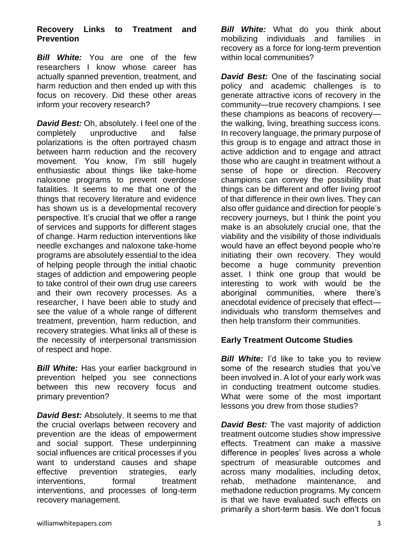#### **Recovery Links to Treatment and Prevention**

*Bill White:* You are one of the few researchers I know whose career has actually spanned prevention, treatment, and harm reduction and then ended up with this focus on recovery. Did these other areas inform your recovery research?

*David Best:* Oh, absolutely. I feel one of the completely unproductive and false polarizations is the often portrayed chasm between harm reduction and the recovery movement. You know, I'm still hugely enthusiastic about things like take-home naloxone programs to prevent overdose fatalities. It seems to me that one of the things that recovery literature and evidence has shown us is a developmental recovery perspective. It's crucial that we offer a range of services and supports for different stages of change. Harm reduction interventions like needle exchanges and naloxone take-home programs are absolutely essential to the idea of helping people through the initial chaotic stages of addiction and empowering people to take control of their own drug use careers and their own recovery processes. As a researcher, I have been able to study and see the value of a whole range of different treatment, prevention, harm reduction, and recovery strategies. What links all of these is the necessity of interpersonal transmission of respect and hope.

**Bill White:** Has your earlier background in prevention helped you see connections between this new recovery focus and primary prevention?

*David Best:* Absolutely. It seems to me that the crucial overlaps between recovery and prevention are the ideas of empowerment and social support. These underpinning social influences are critical processes if you want to understand causes and shape effective prevention strategies, early interventions. formal treatment interventions, and processes of long-term recovery management.

*Bill White:* What do you think about mobilizing individuals and families in recovery as a force for long-term prevention within local communities?

*David Best:* One of the fascinating social policy and academic challenges is to generate attractive icons of recovery in the community—true recovery champions. I see these champions as beacons of recovery the walking, living, breathing success icons. In recovery language, the primary purpose of this group is to engage and attract those in active addiction and to engage and attract those who are caught in treatment without a sense of hope or direction. Recovery champions can convey the possibility that things can be different and offer living proof of that difference in their own lives. They can also offer guidance and direction for people's recovery journeys, but I think the point you make is an absolutely crucial one, that the viability and the visibility of those individuals would have an effect beyond people who're initiating their own recovery. They would become a huge community prevention asset. I think one group that would be interesting to work with would be the aboriginal communities, where there's anecdotal evidence of precisely that effect individuals who transform themselves and then help transform their communities.

## **Early Treatment Outcome Studies**

*Bill White:* I'd like to take you to review some of the research studies that you've been involved in. A lot of your early work was in conducting treatment outcome studies. What were some of the most important lessons you drew from those studies?

*David Best:* The vast majority of addiction treatment outcome studies show impressive effects. Treatment can make a massive difference in peoples' lives across a whole spectrum of measurable outcomes and across many modalities, including detox, rehab, methadone maintenance, and methadone reduction programs. My concern is that we have evaluated such effects on primarily a short-term basis. We don't focus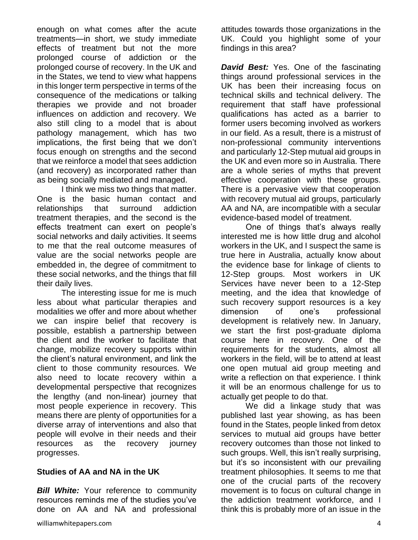enough on what comes after the acute treatments—in short, we study immediate effects of treatment but not the more prolonged course of addiction or the prolonged course of recovery. In the UK and in the States, we tend to view what happens in this longer term perspective in terms of the consequence of the medications or talking therapies we provide and not broader influences on addiction and recovery. We also still cling to a model that is about pathology management, which has two implications, the first being that we don't focus enough on strengths and the second that we reinforce a model that sees addiction (and recovery) as incorporated rather than as being socially mediated and managed.

I think we miss two things that matter. One is the basic human contact and relationships that surround addiction treatment therapies, and the second is the effects treatment can exert on people's social networks and daily activities. It seems to me that the real outcome measures of value are the social networks people are embedded in, the degree of commitment to these social networks, and the things that fill their daily lives.

The interesting issue for me is much less about what particular therapies and modalities we offer and more about whether we can inspire belief that recovery is possible, establish a partnership between the client and the worker to facilitate that change, mobilize recovery supports within the client's natural environment, and link the client to those community resources. We also need to locate recovery within a developmental perspective that recognizes the lengthy (and non-linear) journey that most people experience in recovery. This means there are plenty of opportunities for a diverse array of interventions and also that people will evolve in their needs and their resources as the recovery journey progresses.

## **Studies of AA and NA in the UK**

*Bill White:* Your reference to community resources reminds me of the studies you've done on AA and NA and professional attitudes towards those organizations in the UK. Could you highlight some of your findings in this area?

*David Best:* Yes. One of the fascinating things around professional services in the UK has been their increasing focus on technical skills and technical delivery. The requirement that staff have professional qualifications has acted as a barrier to former users becoming involved as workers in our field. As a result, there is a mistrust of non-professional community interventions and particularly 12-Step mutual aid groups in the UK and even more so in Australia. There are a whole series of myths that prevent effective cooperation with these groups. There is a pervasive view that cooperation with recovery mutual aid groups, particularly AA and NA, are incompatible with a secular evidence-based model of treatment.

One of things that's always really interested me is how little drug and alcohol workers in the UK, and I suspect the same is true here in Australia, actually know about the evidence base for linkage of clients to 12-Step groups. Most workers in UK Services have never been to a 12-Step meeting, and the idea that knowledge of such recovery support resources is a key dimension of one's professional development is relatively new. In January, we start the first post-graduate diploma course here in recovery. One of the requirements for the students, almost all workers in the field, will be to attend at least one open mutual aid group meeting and write a reflection on that experience. I think it will be an enormous challenge for us to actually get people to do that.

We did a linkage study that was published last year showing, as has been found in the States, people linked from detox services to mutual aid groups have better recovery outcomes than those not linked to such groups. Well, this isn't really surprising, but it's so inconsistent with our prevailing treatment philosophies. It seems to me that one of the crucial parts of the recovery movement is to focus on cultural change in the addiction treatment workforce, and I think this is probably more of an issue in the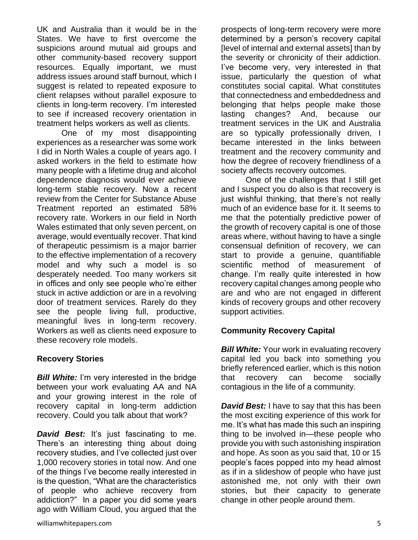UK and Australia than it would be in the States. We have to first overcome the suspicions around mutual aid groups and other community-based recovery support resources. Equally important, we must address issues around staff burnout, which I suggest is related to repeated exposure to client relapses without parallel exposure to clients in long-term recovery. I'm interested to see if increased recovery orientation in treatment helps workers as well as clients.

One of my most disappointing experiences as a researcher was some work I did in North Wales a couple of years ago. I asked workers in the field to estimate how many people with a lifetime drug and alcohol dependence diagnosis would ever achieve long-term stable recovery. Now a recent review from the Center for Substance Abuse Treatment reported an estimated 58% recovery rate. Workers in our field in North Wales estimated that only seven percent, on average, would eventually recover. That kind of therapeutic pessimism is a major barrier to the effective implementation of a recovery model and why such a model is so desperately needed. Too many workers sit in offices and only see people who're either stuck in active addiction or are in a revolving door of treatment services. Rarely do they see the people living full, productive, meaningful lives in long-term recovery. Workers as well as clients need exposure to these recovery role models.

## **Recovery Stories**

*Bill White:* I'm very interested in the bridge between your work evaluating AA and NA and your growing interest in the role of recovery capital in long-term addiction recovery. Could you talk about that work?

**David Best:** It's just fascinating to me. There's an interesting thing about doing recovery studies, and I've collected just over 1,000 recovery stories in total now. And one of the things I've become really interested in is the question, "What are the characteristics of people who achieve recovery from addiction?" In a paper you did some years ago with William Cloud, you argued that the

prospects of long-term recovery were more determined by a person's recovery capital [level of internal and external assets] than by the severity or chronicity of their addiction. I've become very, very interested in that issue, particularly the question of what constitutes social capital. What constitutes that connectedness and embeddedness and belonging that helps people make those lasting changes? And, because our treatment services in the UK and Australia are so typically professionally driven, I became interested in the links between treatment and the recovery community and how the degree of recovery friendliness of a society affects recovery outcomes.

One of the challenges that I still get and I suspect you do also is that recovery is just wishful thinking, that there's not really much of an evidence base for it. It seems to me that the potentially predictive power of the growth of recovery capital is one of those areas where, without having to have a single consensual definition of recovery, we can start to provide a genuine, quantifiable scientific method of measurement of change. I'm really quite interested in how recovery capital changes among people who are and who are not engaged in different kinds of recovery groups and other recovery support activities.

## **Community Recovery Capital**

*Bill White:* Your work in evaluating recovery capital led you back into something you briefly referenced earlier, which is this notion that recovery can become socially contagious in the life of a community.

*David Best:* I have to say that this has been the most exciting experience of this work for me. It's what has made this such an inspiring thing to be involved in—these people who provide you with such astonishing inspiration and hope. As soon as you said that, 10 or 15 people's faces popped into my head almost as if in a slideshow of people who have just astonished me, not only with their own stories, but their capacity to generate change in other people around them.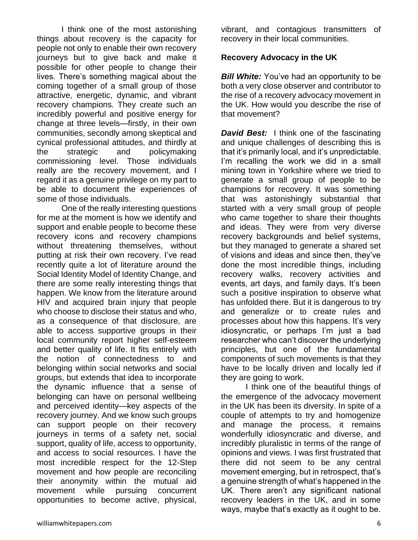I think one of the most astonishing things about recovery is the capacity for people not only to enable their own recovery journeys but to give back and make it possible for other people to change their lives. There's something magical about the coming together of a small group of those attractive, energetic, dynamic, and vibrant recovery champions. They create such an incredibly powerful and positive energy for change at three levels—firstly, in their own communities, secondly among skeptical and cynical professional attitudes, and thirdly at the strategic and policymaking commissioning level. Those individuals really are the recovery movement, and I regard it as a genuine privilege on my part to be able to document the experiences of some of those individuals.

One of the really interesting questions for me at the moment is how we identify and support and enable people to become these recovery icons and recovery champions without threatening themselves, without putting at risk their own recovery. I've read recently quite a lot of literature around the Social Identity Model of Identity Change, and there are some really interesting things that happen. We know from the literature around HIV and acquired brain injury that people who choose to disclose their status and who, as a consequence of that disclosure, are able to access supportive groups in their local community report higher self-esteem and better quality of life. It fits entirely with the notion of connectedness to and belonging within social networks and social groups, but extends that idea to incorporate the dynamic influence that a sense of belonging can have on personal wellbeing and perceived identity—key aspects of the recovery journey. And we know such groups can support people on their recovery journeys in terms of a safety net, social support, quality of life, access to opportunity, and access to social resources. I have the most incredible respect for the 12-Step movement and how people are reconciling their anonymity within the mutual aid movement while pursuing concurrent opportunities to become active, physical,

vibrant, and contagious transmitters of recovery in their local communities.

#### **Recovery Advocacy in the UK**

*Bill White:* You've had an opportunity to be both a very close observer and contributor to the rise of a recovery advocacy movement in the UK. How would you describe the rise of that movement?

*David Best:* I think one of the fascinating and unique challenges of describing this is that it's primarily local, and it's unpredictable. I'm recalling the work we did in a small mining town in Yorkshire where we tried to generate a small group of people to be champions for recovery. It was something that was astonishingly substantial that started with a very small group of people who came together to share their thoughts and ideas. They were from very diverse recovery backgrounds and belief systems, but they managed to generate a shared set of visions and ideas and since then, they've done the most incredible things, including recovery walks, recovery activities and events, art days, and family days. It's been such a positive inspiration to observe what has unfolded there. But it is dangerous to try and generalize or to create rules and processes about how this happens. It's very idiosyncratic, or perhaps I'm just a bad researcher who can't discover the underlying principles, but one of the fundamental components of such movements is that they have to be locally driven and locally led if they are going to work.

I think one of the beautiful things of the emergence of the advocacy movement in the UK has been its diversity. In spite of a couple of attempts to try and homogenize and manage the process, it remains wonderfully idiosyncratic and diverse, and incredibly pluralistic in terms of the range of opinions and views. I was first frustrated that there did not seem to be any central movement emerging, but in retrospect, that's a genuine strength of what's happened in the UK. There aren't any significant national recovery leaders in the UK, and in some ways, maybe that's exactly as it ought to be.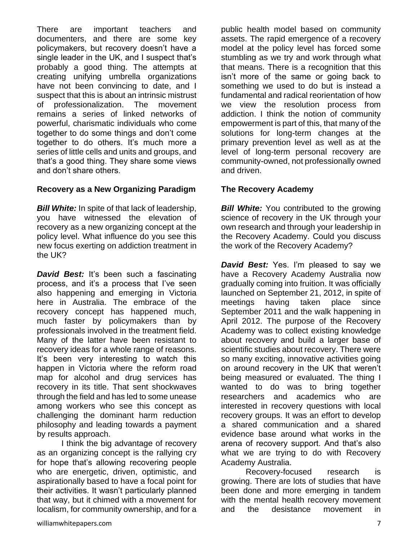There are important teachers and documenters, and there are some key policymakers, but recovery doesn't have a single leader in the UK, and I suspect that's probably a good thing. The attempts at creating unifying umbrella organizations have not been convincing to date, and I suspect that this is about an intrinsic mistrust of professionalization. The movement remains a series of linked networks of powerful, charismatic individuals who come together to do some things and don't come together to do others. It's much more a series of little cells and units and groups, and that's a good thing. They share some views and don't share others.

#### **Recovery as a New Organizing Paradigm**

*Bill White:* In spite of that lack of leadership, you have witnessed the elevation of recovery as a new organizing concept at the policy level. What influence do you see this new focus exerting on addiction treatment in the UK?

**David Best:** It's been such a fascinating process, and it's a process that I've seen also happening and emerging in Victoria here in Australia. The embrace of the recovery concept has happened much, much faster by policymakers than by professionals involved in the treatment field. Many of the latter have been resistant to recovery ideas for a whole range of reasons. It's been very interesting to watch this happen in Victoria where the reform road map for alcohol and drug services has recovery in its title. That sent shockwaves through the field and has led to some unease among workers who see this concept as challenging the dominant harm reduction philosophy and leading towards a payment by results approach.

I think the big advantage of recovery as an organizing concept is the rallying cry for hope that's allowing recovering people who are energetic, driven, optimistic, and aspirationally based to have a focal point for their activities. It wasn't particularly planned that way, but it chimed with a movement for localism, for community ownership, and for a

public health model based on community assets. The rapid emergence of a recovery model at the policy level has forced some stumbling as we try and work through what that means. There is a recognition that this isn't more of the same or going back to something we used to do but is instead a fundamental and radical reorientation of how we view the resolution process from addiction. I think the notion of community empowerment is part of this, that many of the solutions for long-term changes at the primary prevention level as well as at the level of long-term personal recovery are community-owned, not professionally owned and driven.

#### **The Recovery Academy**

*Bill White:* You contributed to the growing science of recovery in the UK through your own research and through your leadership in the Recovery Academy. Could you discuss the work of the Recovery Academy?

*David Best:* Yes. I'm pleased to say we have a Recovery Academy Australia now gradually coming into fruition. It was officially launched on September 21, 2012, in spite of meetings having taken place since September 2011 and the walk happening in April 2012. The purpose of the Recovery Academy was to collect existing knowledge about recovery and build a larger base of scientific studies about recovery. There were so many exciting, innovative activities going on around recovery in the UK that weren't being measured or evaluated. The thing I wanted to do was to bring together researchers and academics who are interested in recovery questions with local recovery groups. It was an effort to develop a shared communication and a shared evidence base around what works in the arena of recovery support. And that's also what we are trying to do with Recovery Academy Australia.

Recovery-focused research is growing. There are lots of studies that have been done and more emerging in tandem with the mental health recovery movement and the desistance movement in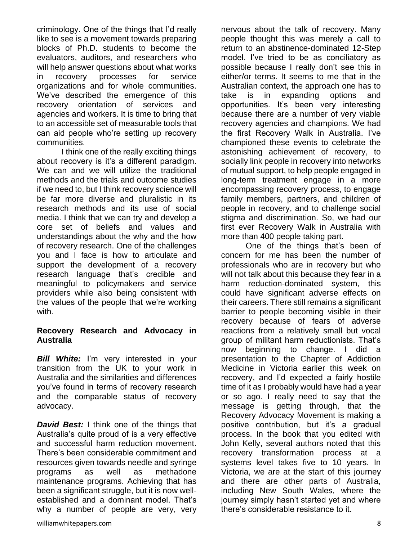criminology. One of the things that I'd really like to see is a movement towards preparing blocks of Ph.D. students to become the evaluators, auditors, and researchers who will help answer questions about what works in recovery processes for service organizations and for whole communities. We've described the emergence of this recovery orientation of services and agencies and workers. It is time to bring that to an accessible set of measurable tools that can aid people who're setting up recovery communities.

I think one of the really exciting things about recovery is it's a different paradigm. We can and we will utilize the traditional methods and the trials and outcome studies if we need to, but I think recovery science will be far more diverse and pluralistic in its research methods and its use of social media. I think that we can try and develop a core set of beliefs and values and understandings about the why and the how of recovery research. One of the challenges you and I face is how to articulate and support the development of a recovery research language that's credible and meaningful to policymakers and service providers while also being consistent with the values of the people that we're working with.

#### **Recovery Research and Advocacy in Australia**

**Bill White:** I'm very interested in your transition from the UK to your work in Australia and the similarities and differences you've found in terms of recovery research and the comparable status of recovery advocacy.

*David Best:* I think one of the things that Australia's quite proud of is a very effective and successful harm reduction movement. There's been considerable commitment and resources given towards needle and syringe programs as well as methadone maintenance programs. Achieving that has been a significant struggle, but it is now wellestablished and a dominant model. That's why a number of people are very, very nervous about the talk of recovery. Many people thought this was merely a call to return to an abstinence-dominated 12-Step model. I've tried to be as conciliatory as possible because I really don't see this in either/or terms. It seems to me that in the Australian context, the approach one has to take is in expanding options and opportunities. It's been very interesting because there are a number of very viable recovery agencies and champions. We had the first Recovery Walk in Australia. I've championed these events to celebrate the astonishing achievement of recovery, to socially link people in recovery into networks of mutual support, to help people engaged in long-term treatment engage in a more encompassing recovery process, to engage family members, partners, and children of people in recovery, and to challenge social stigma and discrimination. So, we had our first ever Recovery Walk in Australia with more than 400 people taking part.

One of the things that's been of concern for me has been the number of professionals who are in recovery but who will not talk about this because they fear in a harm reduction-dominated system, this could have significant adverse effects on their careers. There still remains a significant barrier to people becoming visible in their recovery because of fears of adverse reactions from a relatively small but vocal group of militant harm reductionists. That's now beginning to change. I did a presentation to the Chapter of Addiction Medicine in Victoria earlier this week on recovery, and I'd expected a fairly hostile time of it as I probably would have had a year or so ago. I really need to say that the message is getting through, that the Recovery Advocacy Movement is making a positive contribution, but it's a gradual process. In the book that you edited with John Kelly, several authors noted that this recovery transformation process at a systems level takes five to 10 years. In Victoria, we are at the start of this journey and there are other parts of Australia, including New South Wales, where the journey simply hasn't started yet and where there's considerable resistance to it.